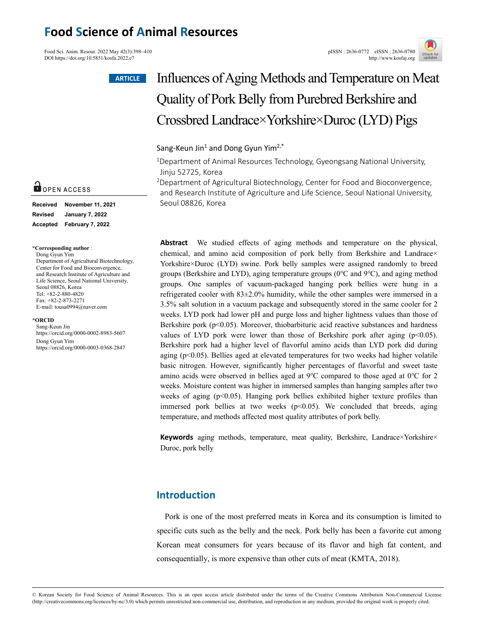## **Food Science of Animal Resources**

Food Sci. Anim. Resour. 2022 May 42(3):398~410<br>
DOI https://doi.org/10.5851/kosfa.2022 e7<br>
http://www.kosfai.org/ DOI https://doi.org/10.5851/kosfa.2022.e7

#### **ARTICLE**

# Influences of Aging Methods and Temperature on Meat Quality of Pork Belly from Purebred Berkshire and Crossbred Landrace×Yorkshire×Duroc (LYD) Pigs

#### Sang-Keun Jin<sup>1</sup> and Dong Gyun Yim<sup>2,\*</sup>

<sup>1</sup> Department of Animal Resources Technology, Gyeongsang National University, Jinju 52725, Korea

<sup>2</sup>Department of Agricultural Biotechnology, Center for Food and Bioconvergence, and Research Institute of Agriculture and Life Science, Seoul National University, Seoul 08826, Korea

**Abstract** We studied effects of aging methods and temperature on the physical, chemical, and amino acid composition of pork belly from Berkshire and Landrace× Yorkshire×Duroc (LYD) swine. Pork belly samples were assigned randomly to breed groups (Berkshire and LYD), aging temperature groups (0℃ and 9℃), and aging method groups. One samples of vacuum-packaged hanging pork bellies were hung in a refrigerated cooler with 83±2.0% humidity, while the other samples were immersed in a 3.5% salt solution in a vacuum package and subsequently stored in the same cooler for 2 weeks. LYD pork had lower pH and purge loss and higher lightness values than those of Berkshire pork ( $p<0.05$ ). Moreover, thiobarbituric acid reactive substances and hardness values of LYD pork were lower than those of Berkshire pork after aging  $(p<0.05)$ . Berkshire pork had a higher level of flavorful amino acids than LYD pork did during aging (p<0.05). Bellies aged at elevated temperatures for two weeks had higher volatile basic nitrogen. However, significantly higher percentages of flavorful and sweet taste amino acids were observed in bellies aged at 9℃ compared to those aged at 0℃ for 2 weeks. Moisture content was higher in immersed samples than hanging samples after two weeks of aging (p<0.05). Hanging pork bellies exhibited higher texture profiles than immersed pork bellies at two weeks  $(p<0.05)$ . We concluded that breeds, aging temperature, and methods affected most quality attributes of pork belly.

Keywords aging methods, temperature, meat quality, Berkshire, Landrace×Yorkshire× Duroc, pork belly

## **Introduction**

Pork is one of the most preferred meats in Korea and its consumption is limited to specific cuts such as the belly and the neck. Pork belly has been a favorite cut among Korean meat consumers for years because of its flavor and high fat content, and consequentially, is more expensive than other cuts of meat (KMTA, 2018).

© Korean Society for Food Science of Animal Resources. This is an open access article distributed under the terms of the Creative Commons Attribution Non-Commercial License (http://creativecommons.org/licences/by-nc/3.0) which permits unrestricted non-commercial use, distribution, and reproduction in any medium, provided the original work is properly cited.

## OPEN ACCESS

**Received November 11, 2021 Revised January 7, 2022 Accepted February 7, 2022** 

#### **\*Corresponding author** :

Dong Gyun Yim Department of Agricultural Biotechnology, Center for Food and Bioconvergence, and Research Institute of Agriculture and Life Science, Seoul National University, Seoul 08826, Korea Tel: +82-2-880-4820 Fax: +82-2-873-2271 E-mail: tousa0994@naver.com

**\*ORCID** 

Sang-Keun Jin https://orcid.org/0000-0002-8983-5607 Dong Gyun Yim https://orcid.org/0000-0003-0368-2847

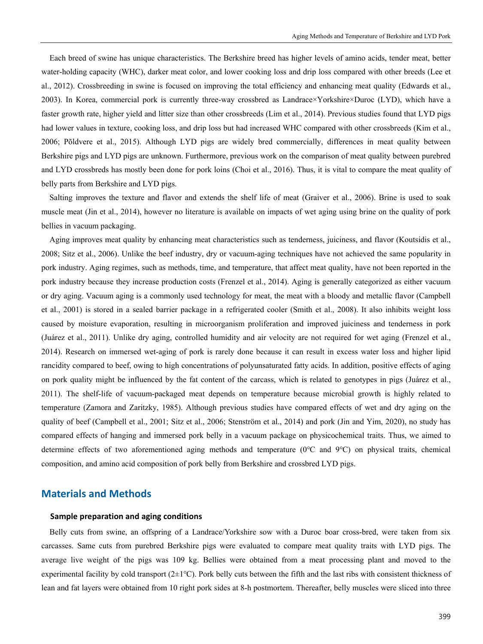Each breed of swine has unique characteristics. The Berkshire breed has higher levels of amino acids, tender meat, better water-holding capacity (WHC), darker meat color, and lower cooking loss and drip loss compared with other breeds (Lee et al., 2012). Crossbreeding in swine is focused on improving the total efficiency and enhancing meat quality (Edwards et al., 2003). In Korea, commercial pork is currently three-way crossbred as Landrace×Yorkshire×Duroc (LYD), which have a faster growth rate, higher yield and litter size than other crossbreeds (Lim et al., 2014). Previous studies found that LYD pigs had lower values in texture, cooking loss, and drip loss but had increased WHC compared with other crossbreeds (Kim et al., 2006; Põldvere et al., 2015). Although LYD pigs are widely bred commercially, differences in meat quality between Berkshire pigs and LYD pigs are unknown. Furthermore, previous work on the comparison of meat quality between purebred and LYD crossbreds has mostly been done for pork loins (Choi et al., 2016). Thus, it is vital to compare the meat quality of belly parts from Berkshire and LYD pigs.

Salting improves the texture and flavor and extends the shelf life of meat (Graiver et al., 2006). Brine is used to soak muscle meat (Jin et al., 2014), however no literature is available on impacts of wet aging using brine on the quality of pork bellies in vacuum packaging.

Aging improves meat quality by enhancing meat characteristics such as tenderness, juiciness, and flavor (Koutsidis et al., 2008; Sitz et al., 2006). Unlike the beef industry, dry or vacuum-aging techniques have not achieved the same popularity in pork industry. Aging regimes, such as methods, time, and temperature, that affect meat quality, have not been reported in the pork industry because they increase production costs (Frenzel et al., 2014). Aging is generally categorized as either vacuum or dry aging. Vacuum aging is a commonly used technology for meat, the meat with a bloody and metallic flavor (Campbell et al., 2001) is stored in a sealed barrier package in a refrigerated cooler (Smith et al., 2008). It also inhibits weight loss caused by moisture evaporation, resulting in microorganism proliferation and improved juiciness and tenderness in pork (Juárez et al., 2011). Unlike dry aging, controlled humidity and air velocity are not required for wet aging (Frenzel et al., 2014). Research on immersed wet-aging of pork is rarely done because it can result in excess water loss and higher lipid rancidity compared to beef, owing to high concentrations of polyunsaturated fatty acids. In addition, positive effects of aging on pork quality might be influenced by the fat content of the carcass, which is related to genotypes in pigs (Juárez et al., 2011). The shelf-life of vacuum-packaged meat depends on temperature because microbial growth is highly related to temperature (Zamora and Zaritzky, 1985). Although previous studies have compared effects of wet and dry aging on the quality of beef (Campbell et al., 2001; Sitz et al., 2006; Stenström et al., 2014) and pork (Jin and Yim, 2020), no study has compared effects of hanging and immersed pork belly in a vacuum package on physicochemical traits. Thus, we aimed to determine effects of two aforementioned aging methods and temperature (0℃ and 9℃) on physical traits, chemical composition, and amino acid composition of pork belly from Berkshire and crossbred LYD pigs.

## **Materials and Methods**

#### **Sample preparation and aging conditions**

Belly cuts from swine, an offspring of a Landrace/Yorkshire sow with a Duroc boar cross-bred, were taken from six carcasses. Same cuts from purebred Berkshire pigs were evaluated to compare meat quality traits with LYD pigs. The average live weight of the pigs was 109 kg. Bellies were obtained from a meat processing plant and moved to the experimental facility by cold transport (2±1℃). Pork belly cuts between the fifth and the last ribs with consistent thickness of lean and fat layers were obtained from 10 right pork sides at 8-h postmortem. Thereafter, belly muscles were sliced into three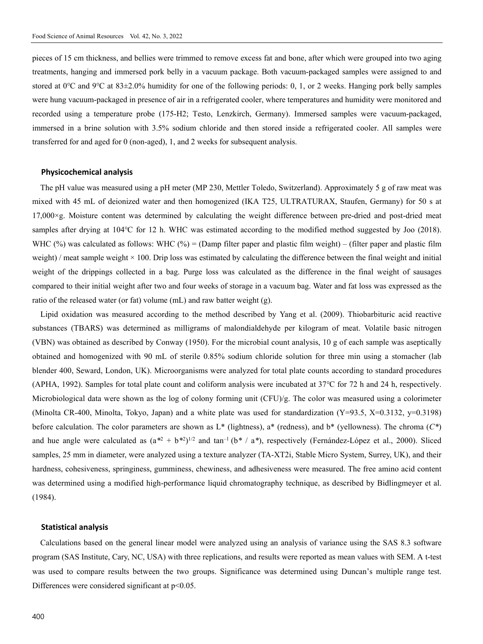pieces of 15 cm thickness, and bellies were trimmed to remove excess fat and bone, after which were grouped into two aging treatments, hanging and immersed pork belly in a vacuum package. Both vacuum-packaged samples were assigned to and stored at 0℃ and 9℃ at 83±2.0% humidity for one of the following periods: 0, 1, or 2 weeks. Hanging pork belly samples were hung vacuum-packaged in presence of air in a refrigerated cooler, where temperatures and humidity were monitored and recorded using a temperature probe (175-H2; Testo, Lenzkirch, Germany). Immersed samples were vacuum-packaged, immersed in a brine solution with 3.5% sodium chloride and then stored inside a refrigerated cooler. All samples were transferred for and aged for 0 (non-aged), 1, and 2 weeks for subsequent analysis.

#### **Physicochemical analysis**

The pH value was measured using a pH meter (MP 230, Mettler Toledo, Switzerland). Approximately 5 g of raw meat was mixed with 45 mL of deionized water and then homogenized (IKA T25, ULTRATURAX, Staufen, Germany) for 50 s at  $17,000\times g$ . Moisture content was determined by calculating the weight difference between pre-dried and post-dried meat samples after drying at 104℃ for 12 h. WHC was estimated according to the modified method suggested by Joo (2018). WHC (%) was calculated as follows: WHC (%) = (Damp filter paper and plastic film weight) – (filter paper and plastic film weight) / meat sample weight  $\times$  100. Drip loss was estimated by calculating the difference between the final weight and initial weight of the drippings collected in a bag. Purge loss was calculated as the difference in the final weight of sausages compared to their initial weight after two and four weeks of storage in a vacuum bag. Water and fat loss was expressed as the ratio of the released water (or fat) volume (mL) and raw batter weight (g).

Lipid oxidation was measured according to the method described by Yang et al. (2009). Thiobarbituric acid reactive substances (TBARS) was determined as milligrams of malondialdehyde per kilogram of meat. Volatile basic nitrogen (VBN) was obtained as described by Conway (1950). For the microbial count analysis, 10 g of each sample was aseptically obtained and homogenized with 90 mL of sterile 0.85% sodium chloride solution for three min using a stomacher (lab blender 400, Seward, London, UK). Microorganisms were analyzed for total plate counts according to standard procedures (APHA, 1992). Samples for total plate count and coliform analysis were incubated at 37℃ for 72 h and 24 h, respectively. Microbiological data were shown as the log of colony forming unit  $(CFU)/g$ . The color was measured using a colorimeter (Minolta CR-400, Minolta, Tokyo, Japan) and a white plate was used for standardization (Y=93.5, X=0.3132, y=0.3198) before calculation. The color parameters are shown as L\* (lightness), a\* (redness), and b\* (yellowness). The chroma (*C\**) and hue angle were calculated as  $(a^{*2} + b^{*2})^{1/2}$  and  $\tan^{-1}(b^* / a^*)$ , respectively (Fernández-López et al., 2000). Sliced samples, 25 mm in diameter, were analyzed using a texture analyzer (TA-XT2i, Stable Micro System, Surrey, UK), and their hardness, cohesiveness, springiness, gumminess, chewiness, and adhesiveness were measured. The free amino acid content was determined using a modified high-performance liquid chromatography technique, as described by Bidlingmeyer et al. (1984).

#### **Statistical analysis**

Calculations based on the general linear model were analyzed using an analysis of variance using the SAS 8.3 software program (SAS Institute, Cary, NC, USA) with three replications, and results were reported as mean values with SEM. A t-test was used to compare results between the two groups. Significance was determined using Duncan's multiple range test. Differences were considered significant at  $p<0.05$ .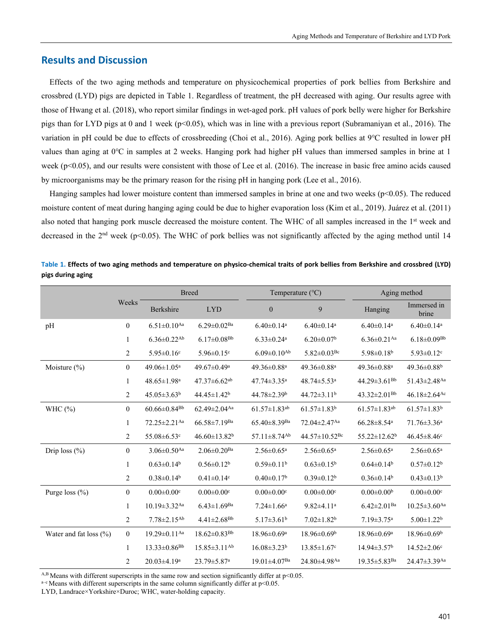## **Results and Discussion**

Effects of the two aging methods and temperature on physicochemical properties of pork bellies from Berkshire and crossbred (LYD) pigs are depicted in Table 1. Regardless of treatment, the pH decreased with aging. Our results agree with those of Hwang et al. (2018), who report similar findings in wet-aged pork. pH values of pork belly were higher for Berkshire pigs than for LYD pigs at 0 and 1 week (p<0.05), which was in line with a previous report (Subramaniyan et al., 2016). The variation in pH could be due to effects of crossbreeding (Choi et al., 2016). Aging pork bellies at 9℃ resulted in lower pH values than aging at 0℃ in samples at 2 weeks. Hanging pork had higher pH values than immersed samples in brine at 1 week (p<0.05), and our results were consistent with those of Lee et al. (2016). The increase in basic free amino acids caused by microorganisms may be the primary reason for the rising pH in hanging pork (Lee et al., 2016).

Hanging samples had lower moisture content than immersed samples in brine at one and two weeks ( $p<0.05$ ). The reduced moisture content of meat during hanging aging could be due to higher evaporation loss (Kim et al., 2019). Juárez et al. (2011) also noted that hanging pork muscle decreased the moisture content. The WHC of all samples increased in the 1<sup>st</sup> week and decreased in the 2<sup>nd</sup> week (p<0.05). The WHC of pork bellies was not significantly affected by the aging method until 14

|                        | <b>Breed</b>   |                                |                                | Temperature (°C)               | Aging method                    |                                |                                |
|------------------------|----------------|--------------------------------|--------------------------------|--------------------------------|---------------------------------|--------------------------------|--------------------------------|
|                        | Weeks          | <b>Berkshire</b>               | <b>LYD</b>                     | $\mathbf{0}$                   | 9                               | Hanging                        | Immersed in<br>brine           |
| pH                     | $\overline{0}$ | $6.51 \pm 0.10$ <sup>Aa</sup>  | $6.29 \pm 0.02$ <sup>Ba</sup>  | $6.40 \pm 0.14$ <sup>a</sup>   | $6.40 \pm 0.14$ <sup>a</sup>    | $6.40 \pm 0.14$ <sup>a</sup>   | $6.40 \pm 0.14$ <sup>a</sup>   |
|                        | $\mathbf{1}$   | $6.36 \pm 0.22$ <sup>Ab</sup>  | $6.17 \pm 0.08$ <sup>Bb</sup>  | $6.33 \pm 0.24$ <sup>a</sup>   | $6.20 \pm 0.07$ <sup>b</sup>    | $6.36 \pm 0.21$ <sup>Aa</sup>  | $6.18 \pm 0.09^{Bb}$           |
|                        | $\overline{c}$ | $5.95 \pm 0.16$ c              | $5.96 \pm 0.15$ <sup>c</sup>   | $6.09 \pm 0.10^{Ab}$           | $5.82 \pm 0.03$ <sup>Bc</sup>   | $5.98 \pm 0.18^b$              | $5.93 \pm 0.12$ <sup>c</sup>   |
| Moisture $(\% )$       | $\overline{0}$ | 49.06±1.05 <sup>a</sup>        | 49.67±0.49 <sup>a</sup>        | $49.36 \pm 0.88$ <sup>a</sup>  | 49.36±0.88 <sup>a</sup>         | $49.36{\pm}0.88^{\mathrm{a}}$  | 49.36±0.88 <sup>b</sup>        |
|                        | 1              | 48.65±1.98 <sup>a</sup>        | $47.37 \pm 6.62$ <sup>ab</sup> | 47.74±3.35 <sup>a</sup>        | 48.74±5.53 <sup>a</sup>         | 44.29 $\pm$ 3.61 <sup>Bb</sup> | $51.43 \pm 2.48$ <sup>Aa</sup> |
|                        | $\overline{2}$ | $45.05 \pm 3.63^b$             | $44.45 \pm 1.42^b$             | $44.78 \pm 2.39^b$             | $44.72 \pm 3.11^b$              | $43.32 \pm 2.01^{Bb}$          | $46.18 \pm 2.64$ <sup>Ac</sup> |
| WHC $(\% )$            | $\overline{0}$ | $60.66 \pm 0.84$ <sup>Bb</sup> | $62.49 \pm 2.04$ <sup>Aa</sup> | $61.57 \pm 1.83$ <sup>ab</sup> | $61.57 \pm 1.83$ <sup>b</sup>   | $61.57 \pm 1.83$ <sup>ab</sup> | $61.57 \pm 1.83$ <sup>b</sup>  |
|                        | 1              | $72.25 \pm 2.21$ <sup>Aa</sup> | $66.58 \pm 7.19$ <sup>Ba</sup> | $65.40 \pm 8.39$ <sup>Ba</sup> | $72.04 \pm 2.47$ <sup>Aa</sup>  | $66.28 \pm 8.54$ <sup>a</sup>  | $71.76 \pm 3.36^a$             |
|                        | $\overline{2}$ | 55.08 $\pm$ 6.53 $\textdegree$ | $46.60 \pm 13.82^b$            | 57.11 $\pm$ 8.74 <sup>Ab</sup> | $44.57 \pm 10.52$ <sup>Bc</sup> | $55.22 \pm 12.62^b$            | $46.45 \pm 8.46$ <sup>c</sup>  |
| Drip loss $(\% )$      | $\overline{0}$ | $3.06 \pm 0.50$ <sup>Aa</sup>  | $2.06 \pm 0.20$ <sup>Ba</sup>  | $2.56 \pm 0.65^{\text{a}}$     | $2.56 \pm 0.65$ <sup>a</sup>    | $2.56 \pm 0.65^{\mathrm{a}}$   | $2.56 \pm 0.65^a$              |
|                        | 1              | $0.63 \pm 0.14^b$              | $0.56 \pm 0.12^b$              | $0.59 \pm 0.11^b$              | $0.63 \pm 0.15^b$               | $0.64 \pm 0.14^b$              | $0.57 \pm 0.12^b$              |
|                        | $\overline{2}$ | $0.38 \pm 0.14^b$              | $0.41 \pm 0.14$ c              | $0.40 \pm 0.17^b$              | $0.39 \pm 0.12^b$               | $0.36 \pm 0.14^b$              | $0.43 \pm 0.13^b$              |
| Purge loss $(\% )$     | $\theta$       | $0.00\pm0.00^{\rm c}$          | $0.00 \pm 0.00$ <sup>c</sup>   | $0.00 \pm 0.00$ <sup>c</sup>   | $0.00\pm0.00^{\rm c}$           | $0.00 \pm 0.00^b$              | $0.00 \pm 0.00$ <sup>c</sup>   |
|                        | $\mathbf{1}$   | $10.19 \pm 3.32$ <sup>Aa</sup> | $6.43 \pm 1.69$ <sup>Ba</sup>  | $7.24 \pm 1.66^a$              | $9.82 \pm 4.11$ <sup>a</sup>    | $6.42 \pm 2.01$ <sup>Ba</sup>  | $10.25 \pm 3.60$ <sup>Aa</sup> |
|                        | 2              | $7.78 \pm 2.15^{Ab}$           | $4.41 \pm 2.68$ <sup>Bb</sup>  | $5.17 \pm 3.61^b$              | $7.02 \pm 1.82$ <sup>b</sup>    | $7.19 \pm 3.75$ <sup>a</sup>   | $5.00 \pm 1.22$ <sup>b</sup>   |
| Water and fat loss (%) | $\mathbf{0}$   | $19.29 \pm 0.11$ <sup>Aa</sup> | $18.62 \pm 0.83^{Bb}$          | $18.96 \pm 0.69^{\mathrm{a}}$  | $18.96 \pm 0.69^{\rm b}$        | $18.96 \pm 0.69$ <sup>a</sup>  | $18.96 \pm 0.69^{\rm b}$       |
|                        | $\mathbf{1}$   | $13.33 \pm 0.86$ <sup>Bb</sup> | $15.85 \pm 3.11^{Ab}$          | $16.08 \pm 3.23^b$             | $13.85 \pm 1.67$ <sup>c</sup>   | $14.94 \pm 3.57$ <sup>b</sup>  | $14.52 \pm 2.06$ <sup>c</sup>  |
|                        | 2              | $20.03 \pm 4.19^a$             | 23.79±5.87 <sup>a</sup>        | $19.01 \pm 4.07$ <sup>Ba</sup> | 24.80±4.98Aa                    | $19.35 \pm 5.83$ <sup>Ba</sup> | 24.47±3.39Aa                   |

**Table 1. Effects of two aging methods and temperature on physico-chemical traits of pork bellies from Berkshire and crossbred (LYD) pigs during aging** 

<sup>A,B</sup> Means with different superscripts in the same row and section significantly differ at p<0.05. <sup>a–c</sup> Means with different superscripts in the same column significantly differ at p<0.05.

LYD, Landrace×Yorkshire×Duroc; WHC, water-holding capacity.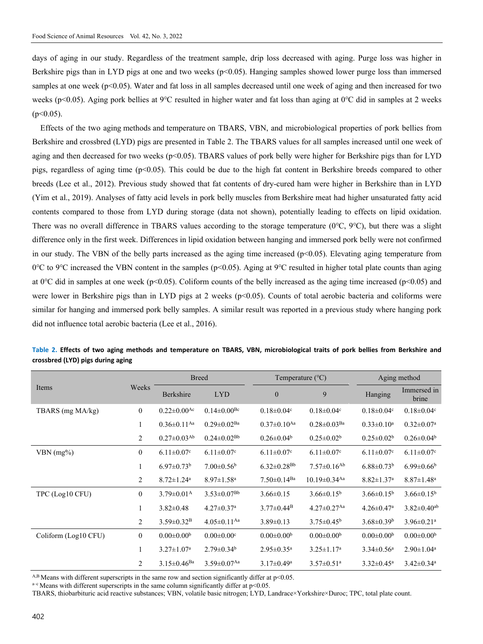days of aging in our study. Regardless of the treatment sample, drip loss decreased with aging. Purge loss was higher in Berkshire pigs than in LYD pigs at one and two weeks (p<0.05). Hanging samples showed lower purge loss than immersed samples at one week ( $p<0.05$ ). Water and fat loss in all samples decreased until one week of aging and then increased for two weeks (p<0.05). Aging pork bellies at 9℃ resulted in higher water and fat loss than aging at 0℃ did in samples at 2 weeks  $(p<0.05)$ .

Effects of the two aging methods and temperature on TBARS, VBN, and microbiological properties of pork bellies from Berkshire and crossbred (LYD) pigs are presented in Table 2. The TBARS values for all samples increased until one week of aging and then decreased for two weeks ( $p<0.05$ ). TBARS values of pork belly were higher for Berkshire pigs than for LYD pigs, regardless of aging time ( $p<0.05$ ). This could be due to the high fat content in Berkshire breeds compared to other breeds (Lee et al., 2012). Previous study showed that fat contents of dry-cured ham were higher in Berkshire than in LYD (Yim et al., 2019). Analyses of fatty acid levels in pork belly muscles from Berkshire meat had higher unsaturated fatty acid contents compared to those from LYD during storage (data not shown), potentially leading to effects on lipid oxidation. There was no overall difference in TBARS values according to the storage temperature (0℃, 9℃), but there was a slight difference only in the first week. Differences in lipid oxidation between hanging and immersed pork belly were not confirmed in our study. The VBN of the belly parts increased as the aging time increased (p<0.05). Elevating aging temperature from 0 °C to 9 °C increased the VBN content in the samples (p < 0.05). Aging at 9 °C resulted in higher total plate counts than aging at 0 °C did in samples at one week ( $p$ <0.05). Coliform counts of the belly increased as the aging time increased ( $p$ <0.05) and were lower in Berkshire pigs than in LYD pigs at 2 weeks (p<0.05). Counts of total aerobic bacteria and coliforms were similar for hanging and immersed pork belly samples. A similar result was reported in a previous study where hanging pork did not influence total aerobic bacteria (Lee et al., 2016).

|                      |                  | <b>Breed</b>                  |                               | Temperature $(^{\circ}C)$     |                                | Aging method                 |                               |
|----------------------|------------------|-------------------------------|-------------------------------|-------------------------------|--------------------------------|------------------------------|-------------------------------|
| Items                | Weeks            | Berkshire                     | <b>LYD</b>                    | $\mathbf{0}$                  | 9                              | Hanging                      | Immersed in<br>brine          |
| TBARS (mg MA/kg)     | $\mathbf{0}$     | $0.22 \pm 0.00$ <sup>Ac</sup> | $0.14 \pm 0.00$ <sup>Bc</sup> | $0.18 \pm 0.04$ <sup>c</sup>  | $0.18 \pm 0.04$ c              | $0.18 \pm 0.04$ c            | $0.18 \pm 0.04$ c             |
|                      | 1                | $0.36 \pm 0.11$ <sup>Aa</sup> | $0.29 \pm 0.02$ <sup>Ba</sup> | $0.37 \pm 0.10$ <sup>Aa</sup> | $0.28 \pm 0.03$ <sup>Ba</sup>  | $0.33 \pm 0.10^a$            | $0.32 \pm 0.07^{\rm a}$       |
|                      | $\overline{2}$   | $0.27 \pm 0.03$ <sup>Ab</sup> | $0.24 \pm 0.02$ <sup>Bb</sup> | $0.26 \pm 0.04^b$             | $0.25 \pm 0.02^b$              | $0.25 \pm 0.02^b$            | $0.26 \pm 0.04^b$             |
| $VBN$ (mg%)          | $\overline{0}$   | $6.11 \pm 0.07$ <sup>c</sup>  | $6.11 \pm 0.07$ <sup>c</sup>  | $6.11 \pm 0.07$ <sup>c</sup>  | $6.11 \pm 0.07$ °              | $6.11 \pm 0.07$ <sup>c</sup> | $6.11 \pm 0.07$ <sup>c</sup>  |
|                      | 1                | $6.97 \pm 0.73^b$             | $7.00 \pm 0.56^b$             | $6.32 \pm 0.28$ <sup>Bb</sup> | $7.57 \pm 0.16$ <sup>Ab</sup>  | $6.88 \pm 0.73^b$            | $6.99 \pm 0.66^b$             |
|                      | 2                | $8.72 \pm 1.24$ <sup>a</sup>  | $8.97 \pm 1.58$ <sup>a</sup>  | $7.50 \pm 0.14^{Ba}$          | $10.19 \pm 0.34$ <sup>Aa</sup> | $8.82 \pm 1.37$ <sup>a</sup> | $8.87 \pm 1.48$ <sup>a</sup>  |
| TPC (Log10 CFU)      | $\boldsymbol{0}$ | $3.79 \pm 0.01^{\rm A}$       | $3.53 \pm 0.07^{Bb}$          | $3.66 \pm 0.15$               | $3.66 \pm 0.15^b$              | $3.66 \pm 0.15^b$            | $3.66 \pm 0.15^b$             |
|                      | 1                | $3.82 \pm 0.48$               | $4.27 \pm 0.37$ <sup>a</sup>  | $3.77 \pm 0.44$ <sup>B</sup>  | $4.27 \pm 0.27$ <sup>Aa</sup>  | $4.26 \pm 0.47$ <sup>a</sup> | $3.82 \pm 0.40$ <sup>ab</sup> |
|                      | 2                | $3.59 \pm 0.32^B$             | $4.05 \pm 0.11$ <sup>Aa</sup> | $3.89 \pm 0.13$               | $3.75 \pm 0.45^{\rm b}$        | $3.68 \pm 0.39^b$            | $3.96 \pm 0.21$ <sup>a</sup>  |
| Coliform (Log10 CFU) | $\boldsymbol{0}$ | $0.00 \pm 0.00^{\rm b}$       | $0.00 \pm 0.00$ <sup>c</sup>  | $0.00 \pm 0.00^b$             | $0.00 \pm 0.00^b$              | $0.00 \pm 0.00^b$            | $0.00 \pm 0.00^b$             |
|                      |                  | $3.27 \pm 1.07$ <sup>a</sup>  | $2.79 \pm 0.34^b$             | $2.95 \pm 0.35^a$             | $3.25 \pm 1.17^a$              | $3.34 \pm 0.56$ <sup>a</sup> | $2.90 \pm 1.04$ <sup>a</sup>  |
|                      | 2                | $3.15 \pm 0.46$ <sup>Ba</sup> | $3.59 \pm 0.07$ <sup>Aa</sup> | $3.17 \pm 0.49^a$             | $3.57 \pm 0.51$ <sup>a</sup>   | $3.32 \pm 0.45^a$            | $3.42 \pm 0.34$ <sup>a</sup>  |

**Table 2. Effects of two aging methods and temperature on TBARS, VBN, microbiological traits of pork bellies from Berkshire and crossbred (LYD) pigs during aging** 

<sup>A,B</sup> Means with different superscripts in the same row and section significantly differ at p<0.05. <sup>a-c</sup> Means with different superscripts in the same column significantly differ at p<0.05.

TBARS, thiobarbituric acid reactive substances; VBN, volatile basic nitrogen; LYD, Landrace×Yorkshire×Duroc; TPC, total plate count.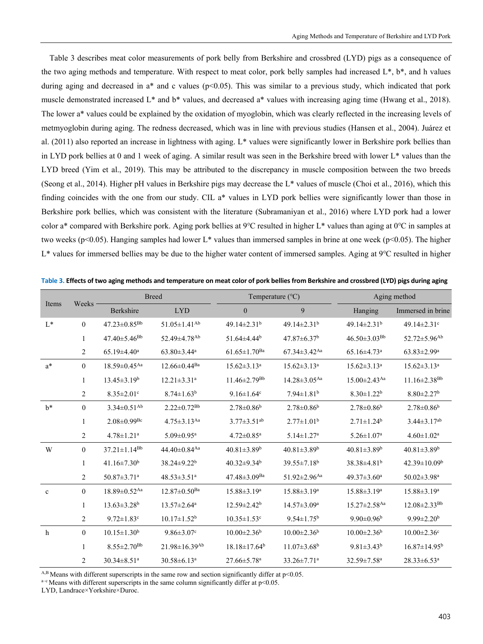Table 3 describes meat color measurements of pork belly from Berkshire and crossbred (LYD) pigs as a consequence of the two aging methods and temperature. With respect to meat color, pork belly samples had increased L\*, b\*, and h values during aging and decreased in a\* and c values (p<0.05). This was similar to a previous study, which indicated that pork muscle demonstrated increased L\* and b\* values, and decreased a\* values with increasing aging time (Hwang et al., 2018). The lower a\* values could be explained by the oxidation of myoglobin, which was clearly reflected in the increasing levels of metmyoglobin during aging. The redness decreased, which was in line with previous studies (Hansen et al., 2004). Juárez et al. (2011) also reported an increase in lightness with aging. L\* values were significantly lower in Berkshire pork bellies than in LYD pork bellies at 0 and 1 week of aging. A similar result was seen in the Berkshire breed with lower L\* values than the LYD breed (Yim et al., 2019). This may be attributed to the discrepancy in muscle composition between the two breeds (Seong et al., 2014). Higher pH values in Berkshire pigs may decrease the L\* values of muscle (Choi et al., 2016), which this finding coincides with the one from our study. CIL a\* values in LYD pork bellies were significantly lower than those in Berkshire pork bellies, which was consistent with the literature (Subramaniyan et al., 2016) where LYD pork had a lower color a\* compared with Berkshire pork. Aging pork bellies at 9℃ resulted in higher L\* values than aging at 0℃ in samples at two weeks ( $p<0.05$ ). Hanging samples had lower L\* values than immersed samples in brine at one week ( $p<0.05$ ). The higher L\* values for immersed bellies may be due to the higher water content of immersed samples. Aging at 9℃ resulted in higher

|              | Weeks            |                                | <b>Breed</b>                    | Temperature $(^{\circ}C)$      |                                |                                | Aging method                   |  |  |
|--------------|------------------|--------------------------------|---------------------------------|--------------------------------|--------------------------------|--------------------------------|--------------------------------|--|--|
| Items        |                  | Berkshire                      | <b>LYD</b>                      | $\mathbf{0}$                   | 9                              | Hanging                        | Immersed in brine              |  |  |
| $L^*$        | $\theta$         | $47.23 \pm 0.85^{Bb}$          | $51.05 \pm 1.41^{Ab}$           | $49.14 \pm 2.31$ <sup>b</sup>  | $49.14 \pm 2.31$ <sup>b</sup>  | $49.14 \pm 2.31$ <sup>b</sup>  | 49.14 $\pm$ 2.31 $\degree$     |  |  |
|              | $\mathbf{1}$     | $47.40 \pm 5.46$ <sup>Bb</sup> | 52.49 $\pm$ 4.78 <sup>Ab</sup>  | $51.64\pm4.44^b$               | $47.87 \pm 6.37$ <sup>b</sup>  | $46.50 \pm 3.03^{Bb}$          | $52.72 \pm 5.96$ <sup>Ab</sup> |  |  |
|              | 2                | $65.19 \pm 4.40^a$             | $63.80 \pm 3.44$ <sup>a</sup>   | $61.65 \pm 1.70$ <sup>Ba</sup> | $67.34 \pm 3.42$ <sup>Aa</sup> | $65.16\pm4.73$ <sup>a</sup>    | $63.83 \pm 2.99^{\mathrm{a}}$  |  |  |
| $a^*$        | $\mathbf{0}$     | $18.59 \pm 0.45$ <sup>Aa</sup> | $12.66 \pm 0.44$ <sup>Ba</sup>  | $15.62 \pm 3.13^a$             | $15.62 \pm 3.13^a$             | $15.62 \pm 3.13^a$             | $15.62 \pm 3.13^a$             |  |  |
|              | $\mathbf{1}$     | $13.45 \pm 3.19^b$             | $12.21 \pm 3.31$ <sup>a</sup>   | $11.46 \pm 2.79$ <sup>Bb</sup> | $14.28 \pm 3.05$ <sup>Aa</sup> | $15.00 \pm 2.43$ <sup>Aa</sup> | $11.16 \pm 2.38^{Bb}$          |  |  |
|              | 2                | $8.35 \pm 2.01$ c              | $8.74 \pm 1.63^b$               | $9.16 \pm 1.64$ <sup>c</sup>   | $7.94 \pm 1.81$ <sup>b</sup>   | $8.30 \pm 1.22$ <sup>b</sup>   | $8.80 \pm 2.27$ <sup>b</sup>   |  |  |
| $h^*$        | $\mathbf{0}$     | $3.34 \pm 0.51^{Ab}$           | $2.22 \pm 0.72^{Bb}$            | $2.78 \pm 0.86$ <sup>b</sup>   | $2.78 \pm 0.86$ <sup>b</sup>   | $2.78 \pm 0.86$ <sup>b</sup>   | $2.78 \pm 0.86$ <sup>b</sup>   |  |  |
|              | 1                | $2.08 \pm 0.99$ <sup>Bc</sup>  | $4.75 \pm 3.13$ <sup>Aa</sup>   | $3.77 \pm 3.51$ <sup>ab</sup>  | $2.77 \pm 1.01^b$              | $2.71 \pm 1.24$ <sup>b</sup>   | $3.44 \pm 3.17$ <sup>ab</sup>  |  |  |
|              | 2                | $4.78 \pm 1.21$ <sup>a</sup>   | $5.09 \pm 0.95$ <sup>a</sup>    | $4.72 \pm 0.85$ <sup>a</sup>   | $5.14 \pm 1.27$ <sup>a</sup>   | $5.26 \pm 1.07$ <sup>a</sup>   | $4.60 \pm 1.02^a$              |  |  |
| W            | $\mathbf{0}$     | $37.21 \pm 1.14^{Bb}$          | $44.40 \pm 0.84$ <sup>Aa</sup>  | $40.81 \pm 3.89$ <sup>b</sup>  | $40.81 \pm 3.89$ <sup>b</sup>  | $40.81 \pm 3.89$ <sup>b</sup>  | $40.81 \pm 3.89$ <sup>b</sup>  |  |  |
|              | $\mathbf{1}$     | $41.16 \pm 7.30^b$             | $38.24 \pm 9.22^b$              | $40.32 \pm 9.34$ <sup>b</sup>  | $39.55 \pm 7.18^b$             | $38.38\pm4.81b$                | $42.39 \pm 10.09^b$            |  |  |
|              | 2                | $50.87 \pm 3.71$ <sup>a</sup>  | $48.53 \pm 3.51$ <sup>a</sup>   | $47.48 \pm 3.09$ <sup>Ba</sup> | 51.92 $\pm$ 2.96 <sup>Aa</sup> | $49.37 \pm 3.60^{\mathrm{a}}$  | $50.02 \pm 3.98$ <sup>a</sup>  |  |  |
| $\mathbf{c}$ | $\mathbf{0}$     | $18.89 \pm 0.52$ <sup>Aa</sup> | $12.87 \pm 0.50$ <sup>Ba</sup>  | $15.88 \pm 3.19^a$             | $15.88 \pm 3.19^a$             | $15.88 \pm 3.19^a$             | $15.88 \pm 3.19^a$             |  |  |
|              | $\mathbf{1}$     | $13.63 \pm 3.28$ <sup>b</sup>  | $13.57 \pm 2.64^a$              | 12.59±2.42 <sup>b</sup>        | 14.57±3.09 <sup>a</sup>        | $15.27 \pm 2.58$ <sup>Aa</sup> | $12.08 \pm 2.33^{Bb}$          |  |  |
|              | $\overline{2}$   | $9.72 \pm 1.83$ c              | $10.17 \pm 1.52^b$              | $10.35 \pm 1.53$ <sup>c</sup>  | $9.54 \pm 1.75$ <sup>b</sup>   | $9.90 \pm 0.96^b$              | $9.99 \pm 2.20^b$              |  |  |
| h            | $\boldsymbol{0}$ | $10.15 \pm 1.30^b$             | $9.86 \pm 3.07$ c               | $10.00 \pm 2.36^b$             | $10.00 \pm 2.36^b$             | $10.00 \pm 2.36^b$             | $10.00 \pm 2.36$ <sup>c</sup>  |  |  |
|              | 1                | $8.55 \pm 2.70$ <sup>Bb</sup>  | $21.98 \pm 16.39$ <sup>Ab</sup> | $18.18 \pm 17.64$ <sup>b</sup> | $11.07\pm3.68^{\rm b}$         | $9.81 \pm 3.43^b$              | $16.87 \pm 14.95^b$            |  |  |
|              | 2                | $30.34 \pm 8.51$ <sup>a</sup>  | $30.58 \pm 6.13$ <sup>a</sup>   | $27.66 \pm 5.78$ <sup>a</sup>  | $33.26 \pm 7.71$ <sup>a</sup>  | 32.59±7.58 <sup>a</sup>        | $28.33 \pm 6.53^a$             |  |  |

**Table 3. Effects of two aging methods and temperature on meat color of pork bellies from Berkshire and crossbred (LYD) pigs during aging**

A,B Means with different superscripts in the same row and section significantly differ at p<0.05.  $a-c$  Means with different superscripts in the same column significantly differ at p<0.05.

LYD, Landrace×Yorkshire×Duroc.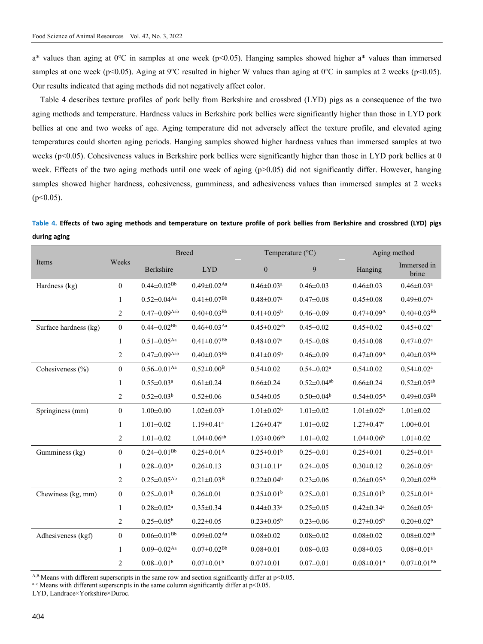a\* values than aging at 0℃ in samples at one week (p<0.05). Hanging samples showed higher a\* values than immersed samples at one week (p<0.05). Aging at  $9^{\circ}$ C resulted in higher W values than aging at  $0^{\circ}$ C in samples at 2 weeks (p<0.05). Our results indicated that aging methods did not negatively affect color.

Table 4 describes texture profiles of pork belly from Berkshire and crossbred (LYD) pigs as a consequence of the two aging methods and temperature. Hardness values in Berkshire pork bellies were significantly higher than those in LYD pork bellies at one and two weeks of age. Aging temperature did not adversely affect the texture profile, and elevated aging temperatures could shorten aging periods. Hanging samples showed higher hardness values than immersed samples at two weeks ( $p\leq 0.05$ ). Cohesiveness values in Berkshire pork bellies were significantly higher than those in LYD pork bellies at 0 week. Effects of the two aging methods until one week of aging (p>0.05) did not significantly differ. However, hanging samples showed higher hardness, cohesiveness, gumminess, and adhesiveness values than immersed samples at 2 weeks  $(p<0.05)$ .

**Table 4. Effects of two aging methods and temperature on texture profile of pork bellies from Berkshire and crossbred (LYD) pigs during aging** 

|                       |                  | <b>Breed</b>                   |                               | Temperature (°C)              |                               | Aging method                 |                               |
|-----------------------|------------------|--------------------------------|-------------------------------|-------------------------------|-------------------------------|------------------------------|-------------------------------|
| Items                 | Weeks            | Berkshire                      | <b>LYD</b>                    | $\mathbf{0}$                  | 9                             | Hanging                      | Immersed in<br>brine          |
| Hardness (kg)         | $\boldsymbol{0}$ | $0.44 \pm 0.02^{Bb}$           | $0.49 \pm 0.02$ <sup>Aa</sup> | $0.46 \pm 0.03$ <sup>a</sup>  | $0.46 \pm 0.03$               | $0.46 \pm 0.03$              | $0.46 \pm 0.03$ <sup>a</sup>  |
|                       | $\mathbf{1}$     | $0.52 \pm 0.04$ <sup>Aa</sup>  | $0.41 \pm 0.07^{Bb}$          | $0.48 \pm 0.07$ <sup>a</sup>  | $0.47 + 0.08$                 | $0.45 \pm 0.08$              | $0.49 \pm 0.07^{\rm a}$       |
|                       | $\overline{2}$   | $0.47 \pm 0.09$ <sup>Aab</sup> | $0.40 \pm 0.03^{Bb}$          | $0.41 \pm 0.05^b$             | $0.46 \pm 0.09$               | $0.47 \pm 0.09^{\rm A}$      | $0.40 \pm 0.03^{Bb}$          |
| Surface hardness (kg) | $\boldsymbol{0}$ | $0.44 \pm 0.02^{Bb}$           | $0.46 \pm 0.03$ <sup>Aa</sup> | $0.45 \pm 0.02^{\text{ab}}$   | $0.45 \pm 0.02$               | $0.45 \pm 0.02$              | $0.45 \pm 0.02^a$             |
|                       | 1                | $0.51 \pm 0.05$ <sup>Aa</sup>  | $0.41{\pm}0.07^{\text{Bb}}$   | $0.48 \pm 0.07^{\rm a}$       | $0.45 \pm 0.08$               | $0.45 \pm 0.08$              | $0.47{\pm}0.07^{\mathrm{a}}$  |
|                       | $\overline{c}$   | $0.47 \pm 0.09$ Aab            | $0.40 \pm 0.03^{Bb}$          | $0.41 \pm 0.05^{\rm b}$       | $0.46 \pm 0.09$               | $0.47 \pm 0.09$ <sup>A</sup> | $0.40 \pm 0.03^{Bb}$          |
| Cohesiveness (%)      | $\boldsymbol{0}$ | $0.56 \pm 0.01$ <sup>Aa</sup>  | $0.52 \pm 0.00^{\rm B}$       | $0.54 \pm 0.02$               | $0.54 \pm 0.02^a$             | $0.54 \pm 0.02$              | $0.54 \pm 0.02^a$             |
|                       | $\mathbf{1}$     | $0.55 \pm 0.03$ <sup>a</sup>   | $0.61 \pm 0.24$               | $0.66 \pm 0.24$               | $0.52 \pm 0.04$ <sup>ab</sup> | $0.66 \pm 0.24$              | $0.52 \pm 0.05^{ab}$          |
|                       | $\overline{c}$   | $0.52 \pm 0.03^b$              | $0.52 \pm 0.06$               | $0.54 \pm 0.05$               | $0.50 \pm 0.04^b$             | $0.54 \pm 0.05^{\text{A}}$   | $0.49 \pm 0.03^{Bb}$          |
| Springiness (mm)      | $\boldsymbol{0}$ | $1.00 \pm 0.00$                | $1.02 \pm 0.03^b$             | $1.01 \pm 0.02^b$             | $1.01 \pm 0.02$               | $1.01 \pm 0.02^b$            | $1.01 \pm 0.02$               |
|                       | 1                | $1.01 \pm 0.02$                | $1.19 \pm 0.41$ <sup>a</sup>  | $1.26 \pm 0.47$ <sup>a</sup>  | $1.01 \pm 0.02$               | $1.27 \pm 0.47$ <sup>a</sup> | $1.00 \pm 0.01$               |
|                       | $\overline{2}$   | $1.01 \pm 0.02$                | $1.04 \pm 0.06$ <sup>ab</sup> | $1.03 \pm 0.06$ <sup>ab</sup> | $1.01 \pm 0.02$               | $1.04 \pm 0.06^b$            | $1.01 \pm 0.02$               |
| Gumminess (kg)        | $\boldsymbol{0}$ | $0.24 \pm 0.01^{Bb}$           | $0.25 \pm 0.01^{\rm A}$       | $0.25 \pm 0.01^b$             | $0.25 \pm 0.01$               | $0.25 \pm 0.01$              | $0.25 \pm 0.01^a$             |
|                       | 1                | $0.28 \pm 0.03$ <sup>a</sup>   | $0.26 \pm 0.13$               | $0.31 \pm 0.11$ <sup>a</sup>  | $0.24 \pm 0.05$               | $0.30 \pm 0.12$              | $0.26 \pm 0.05^a$             |
|                       | $\overline{c}$   | $0.25 \pm 0.05^{Ab}$           | $0.21 \pm 0.03^{\rm B}$       | $0.22 \pm 0.04^b$             | $0.23 \pm 0.06$               | $0.26 \pm 0.05^{\rm A}$      | $0.20 \pm 0.02$ <sup>Bb</sup> |
| Chewiness (kg, mm)    | $\boldsymbol{0}$ | $0.25 \pm 0.01$ <sup>b</sup>   | $0.26 \pm 0.01$               | $0.25 \pm 0.01$ <sup>b</sup>  | $0.25 \pm 0.01$               | $0.25 \pm 0.01$ <sup>b</sup> | $0.25 \pm 0.01$ <sup>a</sup>  |
|                       | $\mathbf{1}$     | $0.28 \pm 0.02^a$              | $0.35 \pm 0.34$               | $0.44 \pm 0.33$ <sup>a</sup>  | $0.25 \pm 0.05$               | $0.42 \pm 0.34$ <sup>a</sup> | $0.26 \pm 0.05^{\text{a}}$    |
|                       | $\overline{c}$   | $0.25 \pm 0.05^b$              | $0.22 \pm 0.05$               | $0.23 \pm 0.05^b$             | $0.23 \pm 0.06$               | $0.27 \pm 0.05^b$            | $0.20{\pm}0.02^{\mathrm{b}}$  |
| Adhesiveness (kgf)    | $\boldsymbol{0}$ | $0.06 \pm 0.01^{Bb}$           | $0.09 \pm 0.02$ <sup>Aa</sup> | $0.08 \pm 0.02$               | $0.08 + 0.02$                 | $0.08 + 0.02$                | $0.08 \pm 0.02$ <sup>ab</sup> |
|                       | 1                | $0.09 \pm 0.02$ <sup>Aa</sup>  | $0.07 \pm 0.02$ <sup>Bb</sup> | $0.08 \pm 0.01$               | $0.08 \pm 0.03$               | $0.08 \pm 0.03$              | $0.08 \pm 0.01$ <sup>a</sup>  |
|                       | 2                | $0.08 \pm 0.01$ <sup>b</sup>   | $0.07 \pm 0.01^b$             | $0.07 \pm 0.01$               | $0.07 \pm 0.01$               | $0.08 \pm 0.01^{\mathrm{A}}$ | $0.07 \pm 0.01^{\mathrm{Bb}}$ |

<sup>A,B</sup> Means with different superscripts in the same row and section significantly differ at p<0.05.  $a-e$  Means with different superscripts in the same column significantly differ at p<0.05.

LYD, Landrace×Yorkshire×Duroc.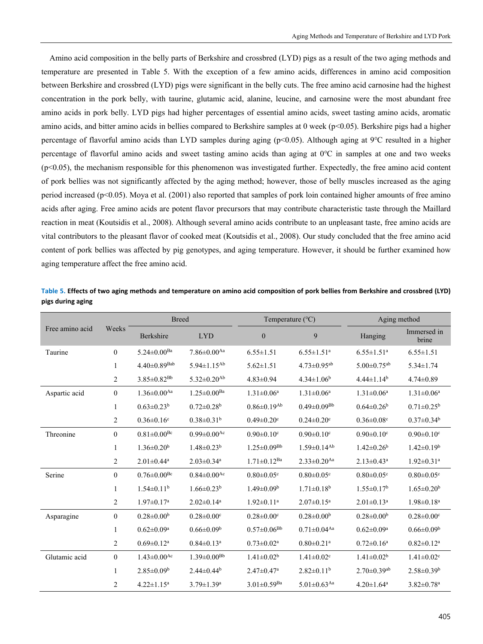Amino acid composition in the belly parts of Berkshire and crossbred (LYD) pigs as a result of the two aging methods and temperature are presented in Table 5. With the exception of a few amino acids, differences in amino acid composition between Berkshire and crossbred (LYD) pigs were significant in the belly cuts. The free amino acid carnosine had the highest concentration in the pork belly, with taurine, glutamic acid, alanine, leucine, and carnosine were the most abundant free amino acids in pork belly. LYD pigs had higher percentages of essential amino acids, sweet tasting amino acids, aromatic amino acids, and bitter amino acids in bellies compared to Berkshire samples at 0 week (p<0.05). Berkshire pigs had a higher percentage of flavorful amino acids than LYD samples during aging (p<0.05). Although aging at 9℃ resulted in a higher percentage of flavorful amino acids and sweet tasting amino acids than aging at 0℃ in samples at one and two weeks  $(p<0.05)$ , the mechanism responsible for this phenomenon was investigated further. Expectedly, the free amino acid content of pork bellies was not significantly affected by the aging method; however, those of belly muscles increased as the aging period increased (p<0.05). Moya et al. (2001) also reported that samples of pork loin contained higher amounts of free amino acids after aging. Free amino acids are potent flavor precursors that may contribute characteristic taste through the Maillard reaction in meat (Koutsidis et al., 2008). Although several amino acids contribute to an unpleasant taste, free amino acids are vital contributors to the pleasant flavor of cooked meat (Koutsidis et al., 2008). Our study concluded that the free amino acid content of pork bellies was affected by pig genotypes, and aging temperature. However, it should be further examined how aging temperature affect the free amino acid.

| Table 5. Effects of two aging methods and temperature on amino acid composition of pork bellies from Berkshire and crossbred (LYD) |  |
|------------------------------------------------------------------------------------------------------------------------------------|--|
| pigs during aging                                                                                                                  |  |

|                 |                  | <b>Breed</b>                  |                               | Temperature (°C)              |                               | Aging method                  |                              |
|-----------------|------------------|-------------------------------|-------------------------------|-------------------------------|-------------------------------|-------------------------------|------------------------------|
| Free amino acid | Weeks            | Berkshire                     | <b>LYD</b>                    | $\boldsymbol{0}$              | 9                             | Hanging                       | Immersed in<br>brine         |
| Taurine         | $\mathbf{0}$     | $5.24 \pm 0.00^{Ba}$          | $7.86 \pm 0.00$ <sup>Aa</sup> | $6.55 \pm 1.51$               | $6.55 \pm 1.51$ <sup>a</sup>  | $6.55 \pm 1.51$ <sup>a</sup>  | $6.55 \pm 1.51$              |
|                 | 1                | $4.40\pm0.89$ <sup>Bab</sup>  | 5.94 $\pm$ 1.15 <sup>Ab</sup> | $5.62 \pm 1.51$               | $4.73 \pm 0.95$ <sup>ab</sup> | $5.00 \pm 0.75$ <sup>ab</sup> | $5.34 \pm 1.74$              |
|                 | 2                | $3.85 \pm 0.82$ <sup>Bb</sup> | $5.32 \pm 0.20$ <sup>Ab</sup> | $4.83 \pm 0.94$               | $4.34 \pm 1.06^b$             | $4.44 \pm 1.14^b$             | $4.74 \pm 0.89$              |
| Aspartic acid   | $\boldsymbol{0}$ | $1.36 \pm 0.00$ <sup>Aa</sup> | $1.25 \pm 0.00^{Ba}$          | $1.31 \pm 0.06^a$             | $1.31 \pm 0.06^a$             | $1.31 \pm 0.06^a$             | $1.31 \pm 0.06^a$            |
|                 | 1                | $0.63 \pm 0.23^b$             | $0.72 \pm 0.28$ <sup>b</sup>  | $0.86 \pm 0.19$ <sup>Ab</sup> | $0.49 \pm 0.09$ <sup>Bb</sup> | $0.64 \pm 0.26$ <sup>b</sup>  | $0.71 \pm 0.25^b$            |
|                 | $\overline{2}$   | $0.36 \pm 0.16$ <sup>c</sup>  | $0.38 \pm 0.31$ <sup>b</sup>  | $0.49 \pm 0.20$ <sup>c</sup>  | $0.24 \pm 0.20$ <sup>c</sup>  | $0.36 \pm 0.08$ c             | $0.37 \pm 0.34$ <sup>b</sup> |
| Threonine       | $\mathbf{0}$     | $0.81 \pm 0.00$ <sup>Bc</sup> | $0.99 \pm 0.00$ <sup>Ac</sup> | $0.90 \pm 0.10$ <sup>c</sup>  | $0.90 \pm 0.10$ <sup>c</sup>  | $0.90 \pm 0.10$ <sup>c</sup>  | $0.90 \pm 0.10$ <sup>c</sup> |
|                 | $\mathbf{1}$     | $1.36 \pm 0.20^b$             | $1.48 \pm 0.23^b$             | $1.25 \pm 0.09^{Bb}$          | $1.59 \pm 0.14$ <sup>Ab</sup> | $1.42 \pm 0.26^b$             | $1.42 \pm 0.19^b$            |
|                 | $\overline{c}$   | $2.01 \pm 0.44$ <sup>a</sup>  | $2.03 \pm 0.34$ <sup>a</sup>  | $1.71 \pm 0.12$ <sup>Ba</sup> | $2.33 \pm 0.20$ <sup>Aa</sup> | $2.13 \pm 0.43^a$             | $1.92 \pm 0.31$ <sup>a</sup> |
| Serine          | $\boldsymbol{0}$ | $0.76 \pm 0.00$ <sup>Bc</sup> | $0.84 \pm 0.00$ <sup>Ac</sup> | $0.80 \pm 0.05$ <sup>c</sup>  | $0.80 \pm 0.05$ c             | $0.80 \pm 0.05$ <sup>c</sup>  | $0.80 \pm 0.05$ <sup>c</sup> |
|                 | $\mathbf{1}$     | $1.54 \pm 0.11$ <sup>b</sup>  | $1.66 \pm 0.23$ <sup>b</sup>  | $1.49 \pm 0.09^b$             | $1.71 \pm 0.18$ <sup>b</sup>  | $1.55 \pm 0.17$ <sup>b</sup>  | $1.65 \pm 0.20^b$            |
|                 | $\overline{2}$   | $1.97 \pm 0.17$ <sup>a</sup>  | $2.02 \pm 0.14$ <sup>a</sup>  | $1.92 \pm 0.11$ <sup>a</sup>  | $2.07 \pm 0.15^a$             | $2.01 \pm 0.13$ <sup>a</sup>  | $1.98 \pm 0.18^a$            |
| Asparagine      | $\mathbf{0}$     | $0.28 \pm 0.00^b$             | $0.28 \pm 0.00$ c             | $0.28 \pm 0.00$ <sup>c</sup>  | $0.28 \pm 0.00^b$             | $0.28 \pm 0.00^b$             | $0.28 \pm 0.00$ <sup>c</sup> |
|                 | $\mathbf{1}$     | $0.62 \pm 0.09^{\text{a}}$    | $0.66 \pm 0.09^b$             | $0.57 \pm 0.06^{Bb}$          | $0.71 \pm 0.04$ <sup>Aa</sup> | $0.62 \pm 0.09^a$             | $0.66 \pm 0.09^b$            |
|                 | $\overline{2}$   | $0.69 \pm 0.12^a$             | $0.84 \pm 0.13$ <sup>a</sup>  | $0.73 \pm 0.02^a$             | $0.80 \pm 0.21$ <sup>a</sup>  | $0.72 \pm 0.16^a$             | $0.82 \pm 0.12^a$            |
| Glutamic acid   | $\boldsymbol{0}$ | $1.43 \pm 0.00$ <sup>Ac</sup> | $1.39 \pm 0.00^{Bb}$          | $1.41 \pm 0.02^b$             | $1.41 \pm 0.02$ <sup>c</sup>  | $1.41 \pm 0.02^b$             | $1.41 \pm 0.02$ <sup>c</sup> |
|                 | 1                | $2.85 \pm 0.09^b$             | $2.44 \pm 0.44^b$             | $2.47 \pm 0.47$ <sup>a</sup>  | $2.82 \pm 0.11^b$             | $2.70 \pm 0.39$ <sup>ab</sup> | $2.58 \pm 0.39^b$            |
|                 | $\overline{2}$   | $4.22 \pm 1.15^a$             | $3.79 \pm 1.39$ <sup>a</sup>  | $3.01 \pm 0.59$ <sup>Ba</sup> | $5.01 \pm 0.63$ <sup>Aa</sup> | $4.20 \pm 1.64$ <sup>a</sup>  | $3.82 \pm 0.78$ <sup>a</sup> |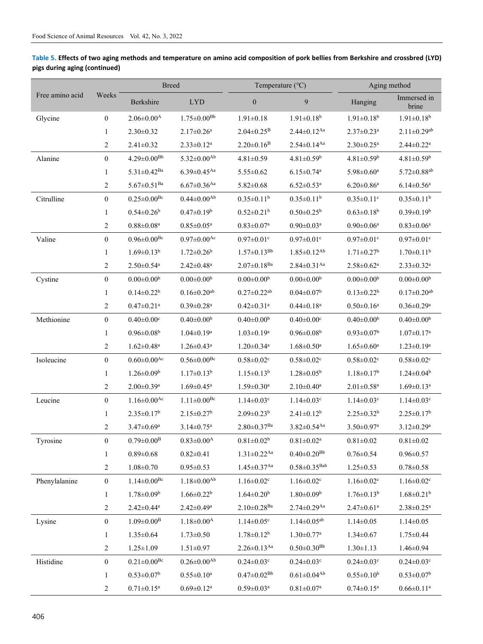|                 |                  | <b>Breed</b>                  |                               | Temperature (°C)              |                                | Aging method                 |                               |
|-----------------|------------------|-------------------------------|-------------------------------|-------------------------------|--------------------------------|------------------------------|-------------------------------|
| Free amino acid | Weeks            | Berkshire                     | <b>LYD</b>                    | $\boldsymbol{0}$              | 9                              | Hanging                      | Immersed in<br>brine          |
| Glycine         | $\boldsymbol{0}$ | $2.06 \pm 0.00^{\rm A}$       | $1.75 \pm 0.00^{Bb}$          | $1.91 \pm 0.18$               | $1.91 \pm 0.18$ <sup>b</sup>   | $1.91 \pm 0.18$ <sup>b</sup> | $1.91 \pm 0.18$ <sup>b</sup>  |
|                 | 1                | $2.30 \pm 0.32$               | $2.17 \pm 0.26^a$             | $2.04 \pm 0.25^{\rm B}$       | $2.44 \pm 0.12$ <sup>Aa</sup>  | $2.37 \pm 0.23$ <sup>a</sup> | $2.11 \pm 0.29$ <sup>ab</sup> |
|                 | $\overline{c}$   | $2.41 \pm 0.32$               | $2.33 \pm 0.12^a$             | $2.20 \pm 0.16^B$             | $2.54 \pm 0.14$ <sup>Aa</sup>  | $2.30 \pm 0.25$ <sup>a</sup> | $2.44 \pm 0.22$ <sup>a</sup>  |
| Alanine         | $\boldsymbol{0}$ | $4.29 \pm 0.00^{Bb}$          | $5.32 \pm 0.00^{Ab}$          | $4.81 \pm 0.59$               | $4.81 \pm 0.59$ <sup>b</sup>   | $4.81 \pm 0.59$ <sup>b</sup> | $4.81 \pm 0.59$ <sup>b</sup>  |
|                 | 1                | $5.31 \pm 0.42$ <sup>Ba</sup> | $6.39 \pm 0.45$ <sup>Aa</sup> | $5.55 \pm 0.62$               | $6.15 \pm 0.74$ <sup>a</sup>   | $5.98 \pm 0.60^a$            | $5.72 \pm 0.88$ <sup>ab</sup> |
|                 | $\overline{c}$   | $5.67 \pm 0.51$ <sup>Ba</sup> | $6.67 \pm 0.36$ <sup>Aa</sup> | $5.82 \pm 0.68$               | $6.52 \pm 0.53$ <sup>a</sup>   | $6.20{\pm}0.86^{\mathrm{a}}$ | $6.14 \pm 0.56$ <sup>a</sup>  |
| Citrulline      | $\boldsymbol{0}$ | $0.25 \pm 0.00^{\rm Bc}$      | $0.44 \pm 0.00^{Ab}$          | $0.35 \pm 0.11$ <sup>b</sup>  | $0.35 \pm 0.11$ <sup>b</sup>   | $0.35 \pm 0.11$ <sup>c</sup> | $0.35 \pm 0.11$ <sup>b</sup>  |
|                 | $\mathbf{1}$     | $0.54 \pm 0.26^b$             | $0.47 \pm 0.19^b$             | $0.52 \pm 0.21$ <sup>b</sup>  | $0.50 \pm 0.25^b$              | $0.63 \pm 0.18^b$            | $0.39 \pm 0.19^b$             |
|                 | $\overline{c}$   | $0.88{\pm}0.08^{\mathrm{a}}$  | $0.85 \pm 0.05^{\text{a}}$    | $0.83 \pm 0.07^{\rm a}$       | $0.90 \pm 0.03$ <sup>a</sup>   | $0.90 \pm 0.06^a$            | $0.83{\pm}0.06^{\mathrm{a}}$  |
| Valine          | $\boldsymbol{0}$ | $0.96 \pm 0.00^{\rm Bc}$      | $0.97 \pm 0.00$ <sup>Ac</sup> | $0.97 \pm 0.01$ c             | $0.97 \pm 0.01$ c              | $0.97 \pm 0.01$ c            | $0.97 \pm 0.01$ c             |
|                 | $\mathbf{1}$     | $1.69 \pm 0.13^b$             | $1.72 \pm 0.26$ <sup>b</sup>  | $1.57 \pm 0.13^{Bb}$          | $1.85 \pm 0.12^{Ab}$           | $1.71 \pm 0.27$ <sup>b</sup> | $1.70 \pm 0.11$ <sup>b</sup>  |
|                 | $\overline{c}$   | $2.50 \pm 0.54$ <sup>a</sup>  | $2.42 \pm 0.48$ <sup>a</sup>  | $2.07 \pm 0.18$ <sup>Ba</sup> | $2.84 \pm 0.31$ <sup>Aa</sup>  | $2.58 \pm 0.62^a$            | $2.33 \pm 0.32$ <sup>a</sup>  |
| Cystine         | $\boldsymbol{0}$ | $0.00 \pm 0.00^b$             | $0.00 \pm 0.00^b$             | $0.00 \pm 0.00^b$             | $0.00 \pm 0.00^b$              | $0.00 \pm 0.00^b$            | $0.00 \pm 0.00^b$             |
|                 | $\mathbf{1}$     | $0.14 \pm 0.22$ <sup>b</sup>  | $0.16 \pm 0.20$ <sup>ab</sup> | $0.27 \pm 0.22$ <sup>ab</sup> | $0.04 \pm 0.07$ <sup>b</sup>   | $0.13 \pm 0.22$ <sup>b</sup> | $0.17 \pm 0.20$ <sup>ab</sup> |
|                 | $\overline{c}$   | $0.47 \pm 0.21$ <sup>a</sup>  | $0.39 \pm 0.28$ <sup>a</sup>  | $0.42 \pm 0.31$ <sup>a</sup>  | $0.44 \pm 0.18$ <sup>a</sup>   | $0.50 \pm 0.16^a$            | $0.36 \pm 0.29$ <sup>a</sup>  |
| Methionine      | $\boldsymbol{0}$ | $0.40\pm0.00$ <sup>c</sup>    | $0.40 \pm 0.00^b$             | $0.40 \pm 0.00^b$             | $0.40\pm0.00$ <sup>c</sup>     | $0.40 \pm 0.00^b$            | $0.40 \pm 0.00^b$             |
|                 | $\mathbf{1}$     | $0.96 \pm 0.08$ <sup>b</sup>  | $1.04 \pm 0.19^a$             | $1.03 \pm 0.19^a$             | $0.96 \pm 0.08$ <sup>b</sup>   | $0.93 \pm 0.07$ <sup>b</sup> | $1.07 \pm 0.17$ <sup>a</sup>  |
|                 | 2                | $1.62 \pm 0.48$ <sup>a</sup>  | $1.26 \pm 0.43$ <sup>a</sup>  | $1.20 \pm 0.34$ <sup>a</sup>  | $1.68 \pm 0.50^a$              | $1.65 \pm 0.60^a$            | $1.23 \pm 0.19^a$             |
| Isoleucine      | $\boldsymbol{0}$ | $0.60\pm0.00$ <sup>Ac</sup>   | $0.56 \pm 0.00 ^\mathrm{Bc}$  | $0.58 \pm 0.02$ <sup>c</sup>  | $0.58{\pm}0.02^{\rm c}$        | $0.58 \pm 0.02$ <sup>c</sup> | $0.58 \pm 0.02$ <sup>c</sup>  |
|                 | $\mathbf{1}$     | $1.26 \pm 0.09^b$             | $1.17 \pm 0.13^b$             | $1.15 \pm 0.13^b$             | $1.28 \pm 0.05^b$              | $1.18 \pm 0.17$ <sup>b</sup> | $1.24 \pm 0.04^b$             |
|                 | 2                | $2.00 \pm 0.39$ <sup>a</sup>  | $1.69 \pm 0.45^a$             | $1.59 \pm 0.30^a$             | $2.10 \pm 0.40^a$              | $2.01 \pm 0.58$ <sup>a</sup> | $1.69 \pm 0.13^a$             |
| Leucine         | $\boldsymbol{0}$ | $1.16 \pm 0.00$ <sup>Ac</sup> | $1.11 \pm 0.00$ <sup>Bc</sup> | $1.14 \pm 0.03$ <sup>c</sup>  | $1.14 \pm 0.03$ <sup>c</sup>   | $1.14 \pm 0.03$ <sup>c</sup> | $1.14 \pm 0.03$ <sup>c</sup>  |
|                 | 1                | $2.35 \pm 0.17^b$             | $2.15 \pm 0.27$ <sup>b</sup>  | $2.09 \pm 0.23$ <sup>b</sup>  | $2.41 \pm 0.12^b$              | $2.25 \pm 0.32^b$            | $2.25 \pm 0.17^b$             |
|                 | 2                | $3.47 \pm 0.69$ <sup>a</sup>  | $3.14 \pm 0.75$ <sup>a</sup>  | $2.80 \pm 0.37$ <sup>Ba</sup> | $3.82 \pm 0.54$ <sup>Aa</sup>  | $3.50 \pm 0.97$ <sup>a</sup> | $3.12 \pm 0.29$ <sup>a</sup>  |
| Tyrosine        | $\mathbf{0}$     | $0.79 \pm 0.00^{\rm B}$       | $0.83 \pm 0.00^{\rm A}$       | $0.81 \pm 0.02^b$             | $0.81 \pm 0.02^a$              | $0.81 \pm 0.02$              | $0.81{\pm}0.02$               |
|                 | 1                | $0.89 \pm 0.68$               | $0.82 \pm 0.41$               | $1.31 \pm 0.22$ <sup>Aa</sup> | $0.40 \pm 0.20^{Bb}$           | $0.76 \pm 0.54$              | $0.96 \pm 0.57$               |
|                 | $\overline{c}$   | $1.08 \pm 0.70$               | $0.95 \pm 0.53$               | $1.45 \pm 0.37$ <sup>Aa</sup> | $0.58 \pm 0.35$ <sup>Bab</sup> | $1.25 \pm 0.53$              | $0.78 \pm 0.58$               |
| Phenylalanine   | $\boldsymbol{0}$ | $1.14 \pm 0.00^{\rm Bc}$      | $1.18 \pm 0.00^{Ab}$          | $1.16 \pm 0.02$ <sup>c</sup>  | $1.16 \pm 0.02$ <sup>c</sup>   | $1.16 \pm 0.02$ <sup>c</sup> | $1.16 \pm 0.02$ <sup>c</sup>  |
|                 | $\mathbf{1}$     | $1.78 \pm 0.09^b$             | $1.66 \pm 0.22^b$             | $1.64 \pm 0.20^b$             | $1.80 \pm 0.09^b$              | $1.76 \pm 0.13^b$            | $1.68 \pm 0.21$ <sup>b</sup>  |
|                 | $\overline{2}$   | $2.42 \pm 0.44^a$             | $2.42 \pm 0.49^{\mathrm{a}}$  | $2.10{\pm}0.28^\text{Ba}$     | $2.74 \pm 0.29$ <sup>Aa</sup>  | $2.47 \pm 0.61$ <sup>a</sup> | $2.38 \pm 0.25$ <sup>a</sup>  |
| Lysine          | $\boldsymbol{0}$ | $1.09 \pm 0.00^{\rm B}$       | $1.18 \pm 0.00^{\rm A}$       | $1.14 \pm 0.05$ <sup>c</sup>  | $1.14 \pm 0.05$ <sup>ab</sup>  | $1.14 \pm 0.05$              | $1.14 \pm 0.05$               |
|                 | $\mathbf{1}$     | $1.35 \pm 0.64$               | $1.73 \pm 0.50$               | $1.78 \pm 0.12^b$             | $1.30 \pm 0.77$ <sup>a</sup>   | $1.34 \pm 0.67$              | $1.75 \pm 0.44$               |
|                 | $\overline{c}$   | $1.25 \pm 1.09$               | $1.51 \pm 0.97$               | $2.26 \pm 0.13$ <sup>Aa</sup> | $0.50 \pm 0.30^{Bb}$           | $1.30 \pm 1.13$              | $1.46 \pm 0.94$               |
| Histidine       | $\boldsymbol{0}$ | $0.21 \pm 0.00$ <sup>Bc</sup> | $0.26 \pm 0.00$ <sup>Ab</sup> | $0.24 \pm 0.03$ <sup>c</sup>  | $0.24 \pm 0.03$ <sup>c</sup>   | $0.24 \pm 0.03$ <sup>c</sup> | $0.24 \pm 0.03$ <sup>c</sup>  |
|                 | $\mathbf{1}$     | $0.53 \pm 0.07$ <sup>b</sup>  | $0.55 \pm 0.10^a$             | $0.47 \pm 0.02^{Bb}$          | $0.61 \pm 0.04$ <sup>Ab</sup>  | $0.55 \pm 0.10^b$            | $0.53 \pm 0.07$ <sup>b</sup>  |
|                 | $\overline{2}$   | $0.71{\pm}0.15^{\mathrm{a}}$  | $0.69{\pm}0.12^{\mathrm{a}}$  | $0.59{\pm}0.03^{\mathrm{a}}$  | $0.81{\pm}0.07^{\mathrm{a}}$   | $0.74 \pm 0.15^{\mathrm{a}}$ | $0.66 \pm 0.11$ <sup>a</sup>  |

### **Table 5. Effects of two aging methods and temperature on amino acid composition of pork bellies from Berkshire and crossbred (LYD) pigs during aging (continued)**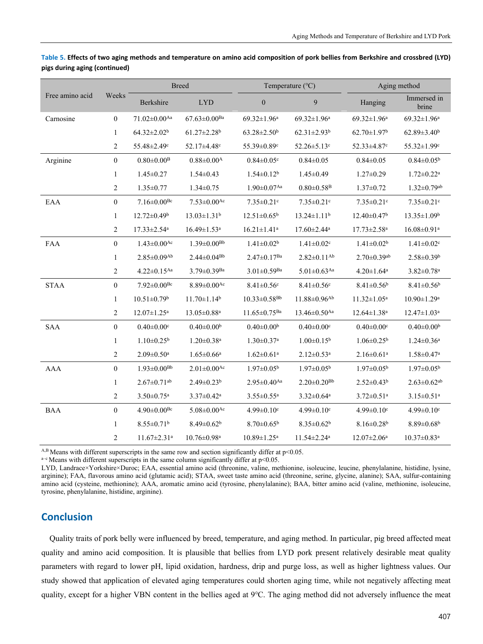|                 |                  | <b>Breed</b>                   |                               |                                | Temperature (°C)               | Aging method                  |                               |
|-----------------|------------------|--------------------------------|-------------------------------|--------------------------------|--------------------------------|-------------------------------|-------------------------------|
| Free amino acid | Weeks            | <b>Berkshire</b>               | <b>LYD</b>                    | $\boldsymbol{0}$               | 9                              | Hanging                       | Immersed in<br>brine          |
| Carnosine       | $\boldsymbol{0}$ | $71.02 \pm 0.00$ <sup>Aa</sup> | $67.63 \pm 0.00^{Ba}$         | $69.32 \pm 1.96^a$             | $69.32 \pm 1.96^a$             | $69.32 \pm 1.96^a$            | $69.32 \pm 1.96^a$            |
|                 | $\mathbf{1}$     | $64.32 \pm 2.02^b$             | $61.27 \pm 2.28$ <sup>b</sup> | $63.28 \pm 2.50^b$             | $62.31 \pm 2.93$ <sup>b</sup>  | $62.70 \pm 1.97$ <sup>b</sup> | $62.89\pm3.40^b$              |
|                 | $\boldsymbol{2}$ | 55.48±2.49 <sup>c</sup>        | 52.17±4.48 <sup>c</sup>       | 55.39±0.89c                    | 52.26±5.13 <sup>c</sup>        | 52.33±4.87c                   | 55.32±1.99c                   |
| Arginine        | $\boldsymbol{0}$ | $0.80 \pm 0.00^{\rm B}$        | $0.88 \pm 0.00^{\rm A}$       | $0.84 \pm 0.05$ <sup>c</sup>   | $0.84 \pm 0.05$                | $0.84 \pm 0.05$               | $0.84 \pm 0.05^{\rm b}$       |
|                 | $\mathbf{1}$     | $1.45 \pm 0.27$                | $1.54 \pm 0.43$               | $1.54 \pm 0.12^b$              | $1.45 \pm 0.49$                | $1.27 \pm 0.29$               | $1.72 \pm 0.22$ <sup>a</sup>  |
|                 | 2                | $1.35 \pm 0.77$                | $1.34 \pm 0.75$               | $1.90 \pm 0.07$ <sup>Aa</sup>  | $0.80 \pm 0.58$ <sup>B</sup>   | $1.37 \pm 0.72$               | $1.32 \pm 0.79$ <sup>ab</sup> |
| EAA             | $\boldsymbol{0}$ | $7.16 \pm 0.00$ <sup>Bc</sup>  | $7.53 \pm 0.00$ <sup>Ac</sup> | $7.35 \pm 0.21$ c              | $7.35 \pm 0.21$ <sup>c</sup>   | $7.35 \pm 0.21$ °             | $7.35 \pm 0.21$ <sup>c</sup>  |
|                 | $\mathbf{1}$     | $12.72 \pm 0.49$ <sup>b</sup>  | $13.03 \pm 1.31^b$            | $12.51 \pm 0.65^b$             | $13.24 \pm 1.11$ <sup>b</sup>  | $12.40 \pm 0.47$ <sup>b</sup> | $13.35 \pm 1.09^b$            |
|                 | $\boldsymbol{2}$ | $17.33 \pm 2.54$ <sup>a</sup>  | $16.49 \pm 1.53$ <sup>a</sup> | $16.21 \pm 1.41^a$             | $17.60 \pm 2.44^{\text{a}}$    | $17.73 \pm 2.58$ <sup>a</sup> | $16.08 \pm 0.91$ <sup>a</sup> |
| FAA             | $\boldsymbol{0}$ | $1.43 \pm 0.00$ <sup>Ac</sup>  | $1.39 \pm 0.00^{Bb}$          | $1.41 \pm 0.02^b$              | $1.41 \pm 0.02$ <sup>c</sup>   | $1.41 \pm 0.02^b$             | $1.41 \pm 0.02$ <sup>c</sup>  |
|                 | $\mathbf{1}$     | $2.85 \pm 0.09$ <sup>Ab</sup>  | $2.44 \pm 0.04$ <sup>Bb</sup> | $2.47 \pm 0.17$ <sup>Ba</sup>  | $2.82 \pm 0.11^{Ab}$           | $2.70 \pm 0.39$ <sup>ab</sup> | $2.58 \pm 0.39^b$             |
|                 | $\overline{c}$   | $4.22 \pm 0.15$ <sup>Aa</sup>  | $3.79 \pm 0.39$ <sup>Ba</sup> | $3.01 \pm 0.59$ <sup>Ba</sup>  | $5.01 \pm 0.63$ <sup>Aa</sup>  | $4.20 \pm 1.64$ <sup>a</sup>  | $3.82 \pm 0.78$ <sup>a</sup>  |
| <b>STAA</b>     | $\boldsymbol{0}$ | $7.92 \pm 0.00$ <sup>Bc</sup>  | $8.89 \pm 0.00$ <sup>Ac</sup> | $8.41 \pm 0.56$ <sup>c</sup>   | $8.41 \pm 0.56$ c              | $8.41 \pm 0.56$ <sup>b</sup>  | $8.41 \pm 0.56$ <sup>b</sup>  |
|                 | 1                | $10.51 \pm 0.79$ <sup>b</sup>  | $11.70 \pm 1.14^b$            | $10.33 \pm 0.58$ <sup>Bb</sup> | $11.88 \pm 0.96$ <sup>Ab</sup> | $11.32 \pm 1.05^a$            | $10.90 \pm 1.29^{\text{a}}$   |
|                 | $\boldsymbol{2}$ | $12.07 \pm 1.25^a$             | $13.05 \pm 0.88$ <sup>a</sup> | $11.65 \pm 0.75$ <sup>Ba</sup> | $13.46 \pm 0.50$ <sup>Aa</sup> | $12.64 \pm 1.38$ <sup>a</sup> | $12.47 \pm 1.03$ <sup>a</sup> |
| <b>SAA</b>      | $\boldsymbol{0}$ | $0.40 \pm 0.00$ <sup>c</sup>   | $0.40 \pm 0.00^b$             | $0.40 \pm 0.00^b$              | $0.40 \pm 0.00$ <sup>c</sup>   | $0.40 \pm 0.00$ <sup>c</sup>  | $0.40 \pm 0.00^b$             |
|                 | $\mathbf{1}$     | $1.10 \pm 0.25^b$              | $1.20 \pm 0.38$ <sup>a</sup>  | $1.30 \pm 0.37$ <sup>a</sup>   | $1.00 \pm 0.15^b$              | $1.06 \pm 0.25^b$             | $1.24 \pm 0.36$ <sup>a</sup>  |
|                 | 2                | $2.09 \pm 0.50$ <sup>a</sup>   | $1.65 \pm 0.66^a$             | $1.62 \pm 0.61$ <sup>a</sup>   | $2.12 \pm 0.53$ <sup>a</sup>   | $2.16 \pm 0.61$ <sup>a</sup>  | $1.58 \pm 0.47$ <sup>a</sup>  |
| <b>AAA</b>      | $\boldsymbol{0}$ | $1.93 \pm 0.00^{Bb}$           | $2.01 \pm 0.00$ <sup>Ac</sup> | $1.97 \pm 0.05^{\rm b}$        | $1.97 \pm 0.05^{\rm b}$        | $1.97 \pm 0.05^{\rm b}$       | $1.97 \pm 0.05^{\rm b}$       |
|                 | 1                | $2.67 \pm 0.71$ <sup>ab</sup>  | $2.49 \pm 0.23$ <sup>b</sup>  | $2.95 \pm 0.40$ <sup>Aa</sup>  | $2.20 \pm 0.20$ <sup>Bb</sup>  | $2.52 \pm 0.43^b$             | $2.63 \pm 0.62$ <sup>ab</sup> |
|                 | 2                | $3.50 \pm 0.75$ <sup>a</sup>   | $3.37 \pm 0.42^a$             | $3.55 \pm 0.55^{\text{a}}$     | $3.32 \pm 0.64^a$              | $3.72 \pm 0.51$ <sup>a</sup>  | $3.15 \pm 0.51$ <sup>a</sup>  |
| <b>BAA</b>      | $\boldsymbol{0}$ | $4.90\pm0.00^{Bc}$             | $5.08\pm0.00^{\rm Ac}$        | $4.99 \pm 0.10$ c              | $4.99 \pm 0.10$ c              | $4.99 \pm 0.10$ c             | $4.99 \pm 0.10$ c             |
|                 | 1                | $8.55 \pm 0.71$ <sup>b</sup>   | $8.49 \pm 0.62^b$             | $8.70 \pm 0.65^b$              | $8.35 \pm 0.62^b$              | $8.16 \pm 0.28$ <sup>b</sup>  | $8.89 \pm 0.68$ <sup>b</sup>  |
|                 | 2                | $11.67 \pm 2.31$ <sup>a</sup>  | $10.76 \pm 0.98$ <sup>a</sup> | $10.89 \pm 1.25^a$             | $11.54 \pm 2.24$ <sup>a</sup>  | $12.07 \pm 2.06^a$            | $10.37 \pm 0.83$ <sup>a</sup> |

**Table 5. Effects of two aging methods and temperature on amino acid composition of pork bellies from Berkshire and crossbred (LYD) pigs during aging (continued)** 

<sup>A,B</sup> Means with different superscripts in the same row and section significantly differ at p<0.05.  $a-e$  Means with different superscripts in the same column significantly differ at p<0.05.

LYD, Landrace×Yorkshire×Duroc; EAA, essential amino acid (threonine, valine, methionine, isoleucine, leucine, phenylalanine, histidine, lysine, arginine); FAA, flavorous amino acid (glutamic acid); STAA, sweet taste amino acid (threonine, serine, glycine, alanine); SAA, sulfur-containing amino acid (cysteine, methionine); AAA, aromatic amino acid (tyrosine, phenylalanine); BAA, bitter amino acid (valine, methionine, isoleucine, tyrosine, phenylalanine, histidine, arginine).

## **Conclusion**

Quality traits of pork belly were influenced by breed, temperature, and aging method. In particular, pig breed affected meat quality and amino acid composition. It is plausible that bellies from LYD pork present relatively desirable meat quality parameters with regard to lower pH, lipid oxidation, hardness, drip and purge loss, as well as higher lightness values. Our study showed that application of elevated aging temperatures could shorten aging time, while not negatively affecting meat quality, except for a higher VBN content in the bellies aged at 9℃. The aging method did not adversely influence the meat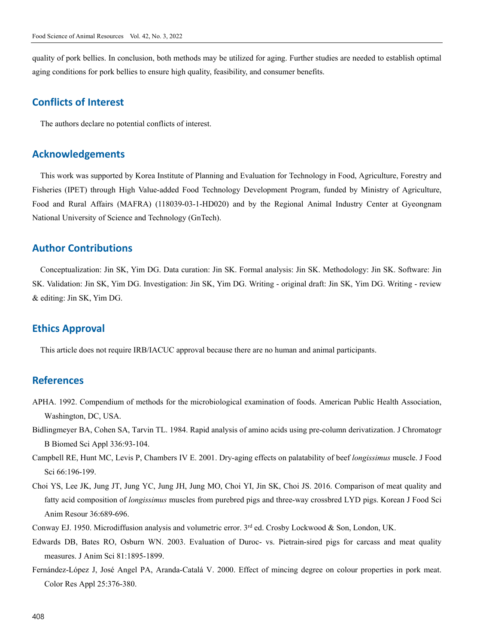quality of pork bellies. In conclusion, both methods may be utilized for aging. Further studies are needed to establish optimal aging conditions for pork bellies to ensure high quality, feasibility, and consumer benefits.

## **Conflicts of Interest**

The authors declare no potential conflicts of interest.

### **Acknowledgements**

This work was supported by Korea Institute of Planning and Evaluation for Technology in Food, Agriculture, Forestry and Fisheries (IPET) through High Value-added Food Technology Development Program, funded by Ministry of Agriculture, Food and Rural Affairs (MAFRA) (118039-03-1-HD020) and by the Regional Animal Industry Center at Gyeongnam National University of Science and Technology (GnTech).

## **Author Contributions**

Conceptualization: Jin SK, Yim DG. Data curation: Jin SK. Formal analysis: Jin SK. Methodology: Jin SK. Software: Jin SK. Validation: Jin SK, Yim DG. Investigation: Jin SK, Yim DG. Writing - original draft: Jin SK, Yim DG. Writing - review & editing: Jin SK, Yim DG.

## **Ethics Approval**

This article does not require IRB/IACUC approval because there are no human and animal participants.

## **References**

- APHA. 1992. Compendium of methods for the microbiological examination of foods. American Public Health Association, Washington, DC, USA.
- Bidlingmeyer BA, Cohen SA, Tarvin TL. 1984. Rapid analysis of amino acids using pre-column derivatization. J Chromatogr B Biomed Sci Appl 336:93-104.
- Campbell RE, Hunt MC, Levis P, Chambers IV E. 2001. Dry-aging effects on palatability of beef *longissimus* muscle. J Food Sci 66:196-199.
- Choi YS, Lee JK, Jung JT, Jung YC, Jung JH, Jung MO, Choi YI, Jin SK, Choi JS. 2016. Comparison of meat quality and fatty acid composition of *longissimus* muscles from purebred pigs and three-way crossbred LYD pigs. Korean J Food Sci Anim Resour 36:689-696.
- Conway EJ. 1950. Microdiffusion analysis and volumetric error.  $3^{rd}$  ed. Crosby Lockwood & Son, London, UK.
- Edwards DB, Bates RO, Osburn WN. 2003. Evaluation of Duroc- vs. Pietrain-sired pigs for carcass and meat quality measures. J Anim Sci 81:1895-1899.
- Fernández-López J, José Angel PA, Aranda-Catalá V. 2000. Effect of mincing degree on colour properties in pork meat. Color Res Appl 25:376-380.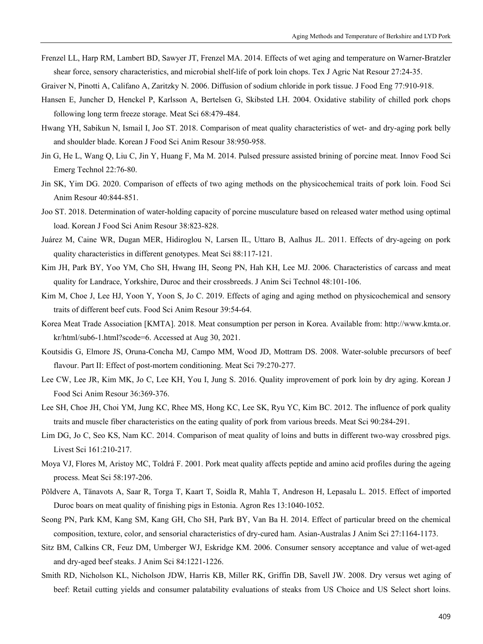Frenzel LL, Harp RM, Lambert BD, Sawyer JT, Frenzel MA. 2014. Effects of wet aging and temperature on Warner-Bratzler shear force, sensory characteristics, and microbial shelf-life of pork loin chops. Tex J Agric Nat Resour 27:24-35.

Graiver N, Pinotti A, Califano A, Zaritzky N. 2006. Diffusion of sodium chloride in pork tissue. J Food Eng 77:910-918.

- Hansen E, Juncher D, Henckel P, Karlsson A, Bertelsen G, Skibsted LH. 2004. Oxidative stability of chilled pork chops following long term freeze storage. Meat Sci 68:479-484.
- Hwang YH, Sabikun N, Ismail I, Joo ST. 2018. Comparison of meat quality characteristics of wet- and dry-aging pork belly and shoulder blade. Korean J Food Sci Anim Resour 38:950-958.
- Jin G, He L, Wang Q, Liu C, Jin Y, Huang F, Ma M. 2014. Pulsed pressure assisted brining of porcine meat. Innov Food Sci Emerg Technol 22:76-80.
- Jin SK, Yim DG. 2020. Comparison of effects of two aging methods on the physicochemical traits of pork loin. Food Sci Anim Resour 40:844-851.
- Joo ST. 2018. Determination of water-holding capacity of porcine musculature based on released water method using optimal load. Korean J Food Sci Anim Resour 38:823-828.
- Juárez M, Caine WR, Dugan MER, Hidiroglou N, Larsen IL, Uttaro B, Aalhus JL. 2011. Effects of dry-ageing on pork quality characteristics in different genotypes. Meat Sci 88:117-121.
- Kim JH, Park BY, Yoo YM, Cho SH, Hwang IH, Seong PN, Hah KH, Lee MJ. 2006. Characteristics of carcass and meat quality for Landrace, Yorkshire, Duroc and their crossbreeds. J Anim Sci Technol 48:101-106.
- Kim M, Choe J, Lee HJ, Yoon Y, Yoon S, Jo C. 2019. Effects of aging and aging method on physicochemical and sensory traits of different beef cuts. Food Sci Anim Resour 39:54-64.
- Korea Meat Trade Association [KMTA]. 2018. Meat consumption per person in Korea. Available from: http://www.kmta.or. kr/html/sub6-1.html?scode=6. Accessed at Aug 30, 2021.
- Koutsidis G, Elmore JS, Oruna-Concha MJ, Campo MM, Wood JD, Mottram DS. 2008. Water-soluble precursors of beef flavour. Part II: Effect of post-mortem conditioning. Meat Sci 79:270-277.
- Lee CW, Lee JR, Kim MK, Jo C, Lee KH, You I, Jung S. 2016. Quality improvement of pork loin by dry aging. Korean J Food Sci Anim Resour 36:369-376.
- Lee SH, Choe JH, Choi YM, Jung KC, Rhee MS, Hong KC, Lee SK, Ryu YC, Kim BC. 2012. The influence of pork quality traits and muscle fiber characteristics on the eating quality of pork from various breeds. Meat Sci 90:284-291.
- Lim DG, Jo C, Seo KS, Nam KC. 2014. Comparison of meat quality of loins and butts in different two-way crossbred pigs. Livest Sci 161:210-217.
- Moya VJ, Flores M, Aristoy MC, Toldrá F. 2001. Pork meat quality affects peptide and amino acid profiles during the ageing process. Meat Sci 58:197-206.
- Põldvere A, Tänavots A, Saar R, Torga T, Kaart T, Soidla R, Mahla T, Andreson H, Lepasalu L. 2015. Effect of imported Duroc boars on meat quality of finishing pigs in Estonia. Agron Res 13:1040-1052.
- Seong PN, Park KM, Kang SM, Kang GH, Cho SH, Park BY, Van Ba H. 2014. Effect of particular breed on the chemical composition, texture, color, and sensorial characteristics of dry-cured ham. Asian-Australas J Anim Sci 27:1164-1173.
- Sitz BM, Calkins CR, Feuz DM, Umberger WJ, Eskridge KM. 2006. Consumer sensory acceptance and value of wet-aged and dry-aged beef steaks. J Anim Sci 84:1221-1226.
- Smith RD, Nicholson KL, Nicholson JDW, Harris KB, Miller RK, Griffin DB, Savell JW. 2008. Dry versus wet aging of beef: Retail cutting yields and consumer palatability evaluations of steaks from US Choice and US Select short loins.